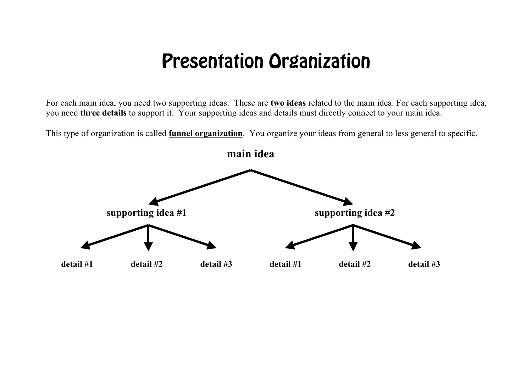## Presentation Organization

For each main idea, you need two supporting ideas. These are **two ideas** related to the main idea. For each supporting idea, you need **three details** to support it. Your supporting ideas and details must directly connect to your main idea.

This type of organization is called **funnel organization**. You organize your ideas from general to less general to specific.

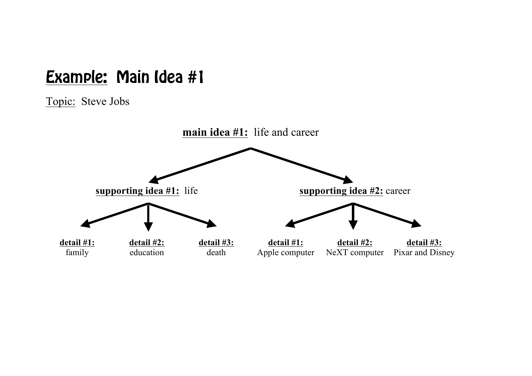## Example: Main Idea #1

Topic: Steve Jobs

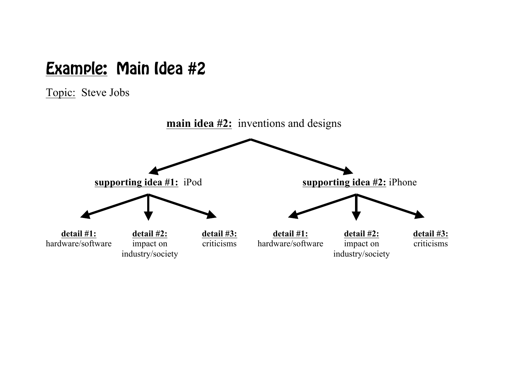## Example: Main Idea #2

Topic: Steve Jobs